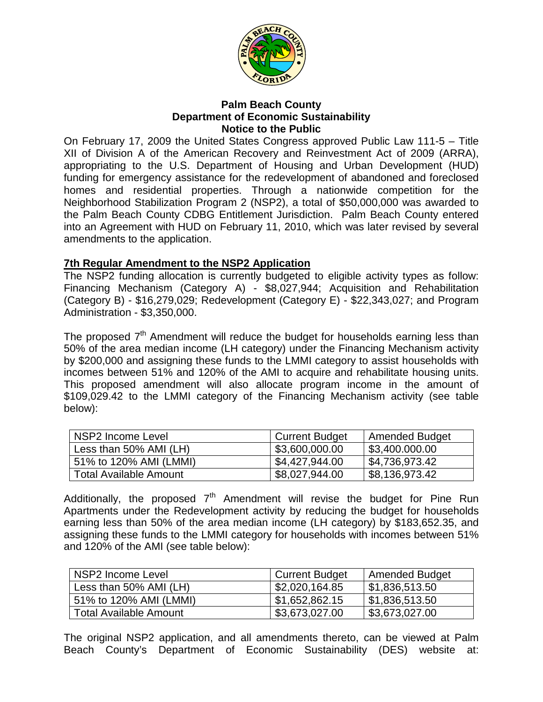

## **Palm Beach County Department of Economic Sustainability Notice to the Public**

On February 17, 2009 the United States Congress approved Public Law 111-5 – Title XII of Division A of the American Recovery and Reinvestment Act of 2009 (ARRA), appropriating to the U.S. Department of Housing and Urban Development (HUD) funding for emergency assistance for the redevelopment of abandoned and foreclosed homes and residential properties. Through a nationwide competition for the Neighborhood Stabilization Program 2 (NSP2), a total of \$50,000,000 was awarded to the Palm Beach County CDBG Entitlement Jurisdiction. Palm Beach County entered into an Agreement with HUD on February 11, 2010, which was later revised by several amendments to the application.

## **7th Regular Amendment to the NSP2 Application**

The NSP2 funding allocation is currently budgeted to eligible activity types as follow: Financing Mechanism (Category A) - \$8,027,944; Acquisition and Rehabilitation (Category B) - \$16,279,029; Redevelopment (Category E) - \$22,343,027; and Program Administration - \$3,350,000.

The proposed  $7<sup>th</sup>$  Amendment will reduce the budget for households earning less than 50% of the area median income (LH category) under the Financing Mechanism activity by \$200,000 and assigning these funds to the LMMI category to assist households with incomes between 51% and 120% of the AMI to acquire and rehabilitate housing units. This proposed amendment will also allocate program income in the amount of \$109,029.42 to the LMMI category of the Financing Mechanism activity (see table below):

| NSP2 Income Level             | <b>Current Budget</b> | Amended Budget |
|-------------------------------|-----------------------|----------------|
| Less than 50% AMI (LH)        | \$3,600,000.00        | \$3,400.000.00 |
| 51% to 120% AMI (LMMI)        | \$4,427,944.00        | \$4,736,973.42 |
| <b>Total Available Amount</b> | \$8,027,944.00        | \$8,136,973.42 |

Additionally, the proposed  $7<sup>th</sup>$  Amendment will revise the budget for Pine Run Apartments under the Redevelopment activity by reducing the budget for households earning less than 50% of the area median income (LH category) by \$183,652.35, and assigning these funds to the LMMI category for households with incomes between 51% and 120% of the AMI (see table below):

| NSP2 Income Level             | <b>Current Budget</b> | <b>Amended Budget</b>        |
|-------------------------------|-----------------------|------------------------------|
| Less than 50% AMI (LH)        | \$2,020,164.85        | $\vert$ \$1,836,513.50       |
| 51% to 120% AMI (LMMI)        | 51,652,862.15         | \$1,836,513.50               |
| <b>Total Available Amount</b> | \$3,673,027.00        | $\frac{1}{2}$ \$3,673,027.00 |

The original NSP2 application, and all amendments thereto, can be viewed at Palm Beach County's Department of Economic Sustainability (DES) website at: